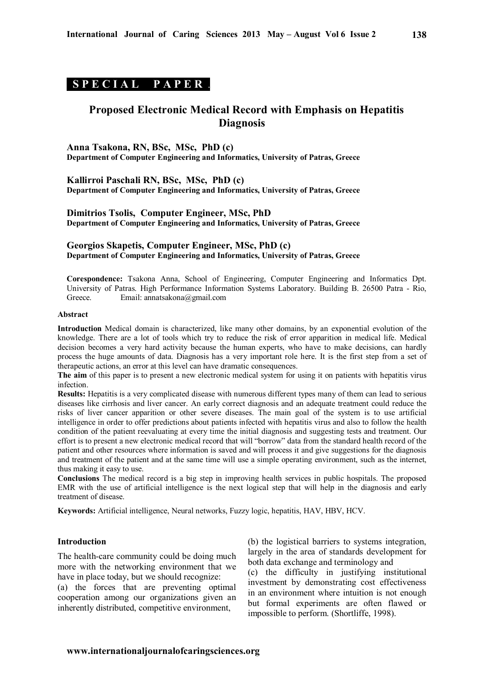## **S P E C I A L P A P E R .**

# **Proposed Electronic Medical Record with Emphasis on Hepatitis Diagnosis**

**Anna Tsakona, RN, BSc, MSc, PhD (c) Department of Computer Engineering and Informatics, University of Patras, Greece** 

**Kallirroi Paschali RN, BSc, MSc, PhD (c) Department of Computer Engineering and Informatics, University of Patras, Greece**

**Dimitrios Tsolis, Computer Engineer, MSc, PhD Department of Computer Engineering and Informatics, University of Patras, Greece**

**Georgios Skapetis, Computer Engineer, MSc, PhD (c) Department of Computer Engineering and Informatics, University of Patras, Greece**

**Corespondence:** Tsakona Anna, School of Engineering, Computer Engineering and Informatics Dpt. University of Patras. High Performance Information Systems Laboratory. Building Β. 26500 Patra - Rio, Email: annatsakona@gmail.com

#### **Abstract**

**Introduction** Medical domain is characterized, like many other domains, by an exponential evolution of the knowledge. There are a lot of tools which try to reduce the risk of error apparition in medical life. Medical decision becomes a very hard activity because the human experts, who have to make decisions, can hardly process the huge amounts of data. Diagnosis has a very important role here. It is the first step from a set of therapeutic actions, an error at this level can have dramatic consequences.

**The aim** of this paper is to present a new electronic medical system for using it on patients with hepatitis virus infection.

**Results:** Hepatitis is a very complicated disease with numerous different types many of them can lead to serious diseases like cirrhosis and liver cancer. An early correct diagnosis and an adequate treatment could reduce the risks of liver cancer apparition or other severe diseases. The main goal of the system is to use artificial intelligence in order to offer predictions about patients infected with hepatitis virus and also to follow the health condition of the patient reevaluating at every time the initial diagnosis and suggesting tests and treatment. Our effort is to present a new electronic medical record that will "borrow" data from the standard health record of the patient and other resources where information is saved and will process it and give suggestions for the diagnosis and treatment of the patient and at the same time will use a simple operating environment, such as the internet, thus making it easy to use.

**Conclusions** The medical record is a big step in improving health services in public hospitals. The proposed EMR with the use of artificial intelligence is the next logical step that will help in the diagnosis and early treatment of disease.

**Keywords:** Artificial intelligence, Neural networks, Fuzzy logic, hepatitis, HAV, HBV, HCV.

#### **Introduction**

The health-care community could be doing much more with the networking environment that we have in place today, but we should recognize:

(a) the forces that are preventing optimal cooperation among our organizations given an inherently distributed, competitive environment,

(b) the logistical barriers to systems integration, largely in the area of standards development for both data exchange and terminology and

(c) the difficulty in justifying institutional investment by demonstrating cost effectiveness in an environment where intuition is not enough but formal experiments are often flawed or impossible to perform. (Shortliffe, 1998).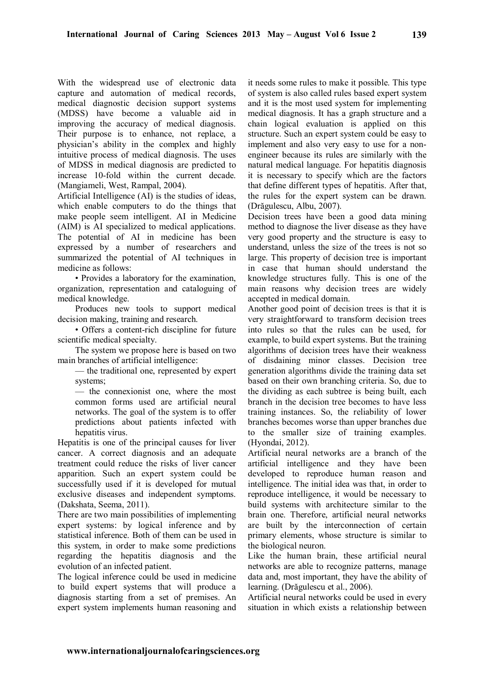With the widespread use of electronic data capture and automation of medical records, medical diagnostic decision support systems (MDSS) have become a valuable aid in improving the accuracy of medical diagnosis. Their purpose is to enhance, not replace, a physician's ability in the complex and highly intuitive process of medical diagnosis. The uses of MDSS in medical diagnosis are predicted to increase 10-fold within the current decade. (Mangiameli, West, Rampal, 2004).

Artificial Intelligence (AI) is the studies of ideas, which enable computers to do the things that make people seem intelligent. AI in Medicine (AIM) is AI specialized to medical applications. The potential of AI in medicine has been expressed by a number of researchers and summarized the potential of AI techniques in medicine as follows:

• Provides a laboratory for the examination, organization, representation and cataloguing of medical knowledge.

Produces new tools to support medical decision making, training and research.

• Offers a content-rich discipline for future scientific medical specialty.

The system we propose here is based on two main branches of artificial intelligence:

— the traditional one, represented by expert systems;

— the connexionist one, where the most common forms used are artificial neural networks. The goal of the system is to offer predictions about patients infected with hepatitis virus.

Hepatitis is one of the principal causes for liver cancer. A correct diagnosis and an adequate treatment could reduce the risks of liver cancer apparition. Such an expert system could be successfully used if it is developed for mutual exclusive diseases and independent symptoms. (Dakshata, Seema, 2011).

There are two main possibilities of implementing expert systems: by logical inference and by statistical inference. Both of them can be used in this system, in order to make some predictions regarding the hepatitis diagnosis and the evolution of an infected patient.

The logical inference could be used in medicine to build expert systems that will produce a diagnosis starting from a set of premises. An expert system implements human reasoning and it needs some rules to make it possible. This type of system is also called rules based expert system and it is the most used system for implementing medical diagnosis. It has a graph structure and a chain logical evaluation is applied on this structure. Such an expert system could be easy to implement and also very easy to use for a nonengineer because its rules are similarly with the natural medical language. For hepatitis diagnosis it is necessary to specify which are the factors that define different types of hepatitis. After that, the rules for the expert system can be drawn. (Drăgulescu, Albu, 2007).

Decision trees have been a good data mining method to diagnose the liver disease as they have very good property and the structure is easy to understand, unless the size of the trees is not so large. This property of decision tree is important in case that human should understand the knowledge structures fully. This is one of the main reasons why decision trees are widely accepted in medical domain.

Another good point of decision trees is that it is very straightforward to transform decision trees into rules so that the rules can be used, for example, to build expert systems. But the training algorithms of decision trees have their weakness of disdaining minor classes. Decision tree generation algorithms divide the training data set based on their own branching criteria. So, due to the dividing as each subtree is being built, each branch in the decision tree becomes to have less training instances. So, the reliability of lower branches becomes worse than upper branches due to the smaller size of training examples. (Hyondai, 2012).

Artificial neural networks are a branch of the artificial intelligence and they have been developed to reproduce human reason and intelligence. The initial idea was that, in order to reproduce intelligence, it would be necessary to build systems with architecture similar to the brain one. Therefore, artificial neural networks are built by the interconnection of certain primary elements, whose structure is similar to the biological neuron.

Like the human brain, these artificial neural networks are able to recognize patterns, manage data and, most important, they have the ability of learning. (Drăgulescu et al., 2006).

Artificial neural networks could be used in every situation in which exists a relationship between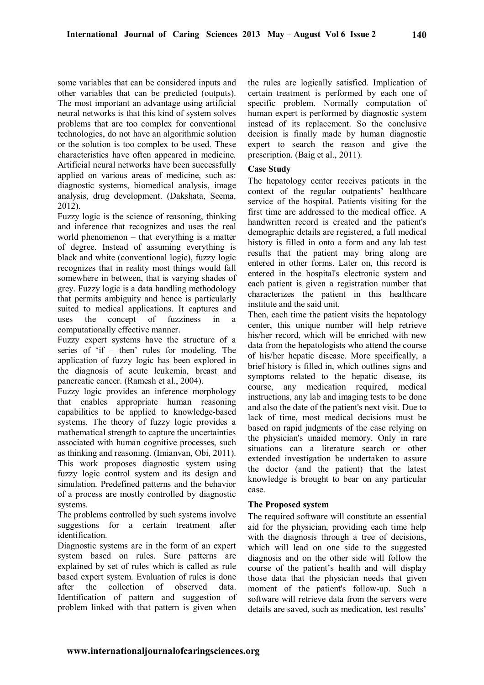some variables that can be considered inputs and other variables that can be predicted (outputs). The most important an advantage using artificial neural networks is that this kind of system solves problems that are too complex for conventional technologies, do not have an algorithmic solution or the solution is too complex to be used. These characteristics have often appeared in medicine. Artificial neural networks have been successfully applied on various areas of medicine, such as: diagnostic systems, biomedical analysis, image analysis, drug development. (Dakshata, Seema, 2012).

Fuzzy logic is the science of reasoning, thinking and inference that recognizes and uses the real world phenomenon – that everything is a matter of degree. Instead of assuming everything is black and white (conventional logic), fuzzy logic recognizes that in reality most things would fall somewhere in between, that is varying shades of grey. Fuzzy logic is a data handling methodology that permits ambiguity and hence is particularly suited to medical applications. It captures and uses the concept of fuzziness in computationally effective manner.

Fuzzy expert systems have the structure of a series of 'if – then' rules for modeling. The application of fuzzy logic has been explored in the diagnosis of acute leukemia, breast and pancreatic cancer. (Ramesh et al., 2004).

Fuzzy logic provides an inference morphology that enables appropriate human reasoning capabilities to be applied to knowledge-based systems. The theory of fuzzy logic provides a mathematical strength to capture the uncertainties associated with human cognitive processes, such as thinking and reasoning. (Imianvan, Obi, 2011). This work proposes diagnostic system using fuzzy logic control system and its design and simulation. Predefined patterns and the behavior of a process are mostly controlled by diagnostic systems.

The problems controlled by such systems involve suggestions for a certain treatment after identification.

Diagnostic systems are in the form of an expert system based on rules. Sure patterns are explained by set of rules which is called as rule based expert system. Evaluation of rules is done after the collection of observed data. Identification of pattern and suggestion of problem linked with that pattern is given when

the rules are logically satisfied. Implication of certain treatment is performed by each one of specific problem. Normally computation of human expert is performed by diagnostic system instead of its replacement. So the conclusive decision is finally made by human diagnostic expert to search the reason and give the prescription. (Baig et al., 2011).

## **Case Study**

The hepatology center receives patients in the context of the regular outpatients' healthcare service of the hospital. Patients visiting for the first time are addressed to the medical office. A handwritten record is created and the patient's demographic details are registered, a full medical history is filled in onto a form and any lab test results that the patient may bring along are entered in other forms. Later on, this record is entered in the hospital's electronic system and each patient is given a registration number that characterizes the patient in this healthcare institute and the said unit.

Then, each time the patient visits the hepatology center, this unique number will help retrieve his/her record, which will be enriched with new data from the hepatologists who attend the course of his/her hepatic disease. More specifically, a brief history is filled in, which outlines signs and symptoms related to the hepatic disease, its course, any medication required, medical instructions, any lab and imaging tests to be done and also the date of the patient's next visit. Due to lack of time, most medical decisions must be based on rapid judgments of the case relying on the physician's unaided memory. Only in rare situations can a literature search or other extended investigation be undertaken to assure the doctor (and the patient) that the latest knowledge is brought to bear on any particular case.

## **The Proposed system**

The required software will constitute an essential aid for the physician, providing each time help with the diagnosis through a tree of decisions, which will lead on one side to the suggested diagnosis and on the other side will follow the course of the patient's health and will display those data that the physician needs that given moment of the patient's follow-up. Such a software will retrieve data from the servers were details are saved, such as medication, test results'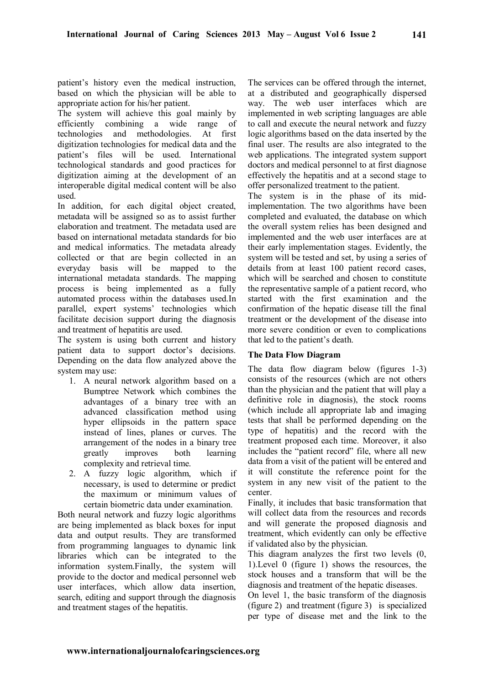patient's history even the medical instruction, based on which the physician will be able to appropriate action for his/her patient.

The system will achieve this goal mainly by efficiently combining a wide range of technologies and methodologies. At first digitization technologies for medical data and the patient's files will be used. International technological standards and good practices for digitization aiming at the development of an interoperable digital medical content will be also used.

In addition, for each digital object created, metadata will be assigned so as to assist further elaboration and treatment. The metadata used are based on international metadata standards for bio and medical informatics. The metadata already collected or that are begin collected in an everyday basis will be mapped to the international metadata standards. The mapping process is being implemented as a fully automated process within the databases used.In parallel, expert systems' technologies which facilitate decision support during the diagnosis and treatment of hepatitis are used.

The system is using both current and history patient data to support doctor's decisions. Depending on the data flow analyzed above the system may use:

- 1. A neural network algorithm based on a Bumptree Network which combines the advantages of a binary tree with an advanced classification method using hyper ellipsoids in the pattern space instead of lines, planes or curves. The arrangement of the nodes in a binary tree greatly improves both learning complexity and retrieval time.
- 2. A fuzzy logic algorithm, which if necessary, is used to determine or predict the maximum or minimum values of certain biometric data under examination.

Both neural network and fuzzy logic algorithms are being implemented as black boxes for input data and output results. They are transformed from programming languages to dynamic link libraries which can be integrated to the information system.Finally, the system will provide to the doctor and medical personnel web user interfaces, which allow data insertion, search, editing and support through the diagnosis and treatment stages of the hepatitis.

The services can be offered through the internet, at a distributed and geographically dispersed way. The web user interfaces which are implemented in web scripting languages are able to call and execute the neural network and fuzzy logic algorithms based on the data inserted by the final user. The results are also integrated to the web applications. The integrated system support doctors and medical personnel to at first diagnose effectively the hepatitis and at a second stage to offer personalized treatment to the patient.

The system is in the phase of its midimplementation. The two algorithms have been completed and evaluated, the database on which the overall system relies has been designed and implemented and the web user interfaces are at their early implementation stages. Evidently, the system will be tested and set, by using a series of details from at least 100 patient record cases, which will be searched and chosen to constitute the representative sample of a patient record, who started with the first examination and the confirmation of the hepatic disease till the final treatment or the development of the disease into more severe condition or even to complications that led to the patient's death.

## **The Data Flow Diagram**

The data flow diagram below (figures 1-3) consists of the resources (which are not others than the physician and the patient that will play a definitive role in diagnosis), the stock rooms (which include all appropriate lab and imaging tests that shall be performed depending on the type of hepatitis) and the record with the treatment proposed each time. Moreover, it also includes the "patient record" file, where all new data from a visit of the patient will be entered and it will constitute the reference point for the system in any new visit of the patient to the center.

Finally, it includes that basic transformation that will collect data from the resources and records and will generate the proposed diagnosis and treatment, which evidently can only be effective if validated also by the physician.

This diagram analyzes the first two levels (0, 1).Level 0 (figure 1) shows the resources, the stock houses and a transform that will be the diagnosis and treatment of the hepatic diseases.

On level 1, the basic transform of the diagnosis (figure 2) and treatment (figure 3) is specialized per type of disease met and the link to the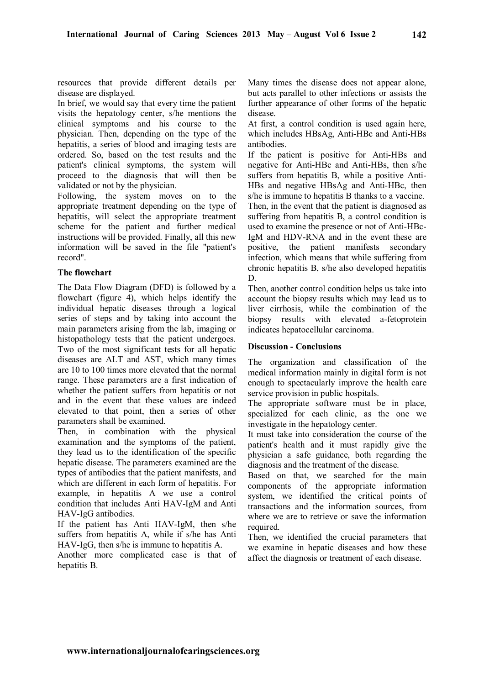resources that provide different details per disease are displayed.

In brief, we would say that every time the patient visits the hepatology center, s/he mentions the clinical symptoms and his course to the physician. Then, depending on the type of the hepatitis, a series of blood and imaging tests are ordered. So, based on the test results and the patient's clinical symptoms, the system will proceed to the diagnosis that will then be validated or not by the physician.

Following, the system moves on to the appropriate treatment depending on the type of hepatitis, will select the appropriate treatment scheme for the patient and further medical instructions will be provided. Finally, all this new information will be saved in the file "patient's record".

## **The flowchart**

The Data Flow Diagram (DFD) is followed by a flowchart (figure 4), which helps identify the individual hepatic diseases through a logical series of steps and by taking into account the main parameters arising from the lab, imaging or histopathology tests that the patient undergoes. Two of the most significant tests for all hepatic diseases are ALT and AST, which many times are 10 to 100 times more elevated that the normal range. These parameters are a first indication of whether the patient suffers from hepatitis or not and in the event that these values are indeed elevated to that point, then a series of other parameters shall be examined.

Then, in combination with the physical examination and the symptoms of the patient, they lead us to the identification of the specific hepatic disease. The parameters examined are the types of antibodies that the patient manifests, and which are different in each form of hepatitis. For example, in hepatitis A we use a control condition that includes Anti HΑV-IgM and Anti HΑV-IgG antibodies.

If the patient has Anti HΑV-IgM, then s/he suffers from hepatitis A, while if s/he has Anti HAV-IgG, then s/he is immune to hepatitis A.

Another more complicated case is that of hepatitis B.

Many times the disease does not appear alone, but acts parallel to other infections or assists the further appearance of other forms of the hepatic disease.

At first, a control condition is used again here, which includes HBsAg, Anti-HBc and Anti-HBs antibodies.

If the patient is positive for Anti-HBs and negative for Anti-HBc and Anti-HBs, then s/he suffers from hepatitis B, while a positive Anti-HBs and negative HBsAg and Anti-HBc, then s/he is immune to hepatitis B thanks to a vaccine. Then, in the event that the patient is diagnosed as suffering from hepatitis B, a control condition is used to examine the presence or not of Anti-HBc-IgM and HDV-RNA and in the event these are positive, the patient manifests secondary infection, which means that while suffering from chronic hepatitis B, s/he also developed hepatitis D.

Then, another control condition helps us take into account the biopsy results which may lead us to liver cirrhosis, while the combination of the biopsy results with elevated a-fetoprotein indicates hepatocellular carcinoma.

## **Discussion - Conclusions**

The organization and classification of the medical information mainly in digital form is not enough to spectacularly improve the health care service provision in public hospitals.

The appropriate software must be in place, specialized for each clinic, as the one we investigate in the hepatology center.

It must take into consideration the course of the patient's health and it must rapidly give the physician a safe guidance, both regarding the diagnosis and the treatment of the disease.

Based on that, we searched for the main components of the appropriate information system, we identified the critical points of transactions and the information sources, from where we are to retrieve or save the information required.

Then, we identified the crucial parameters that we examine in hepatic diseases and how these affect the diagnosis or treatment of each disease.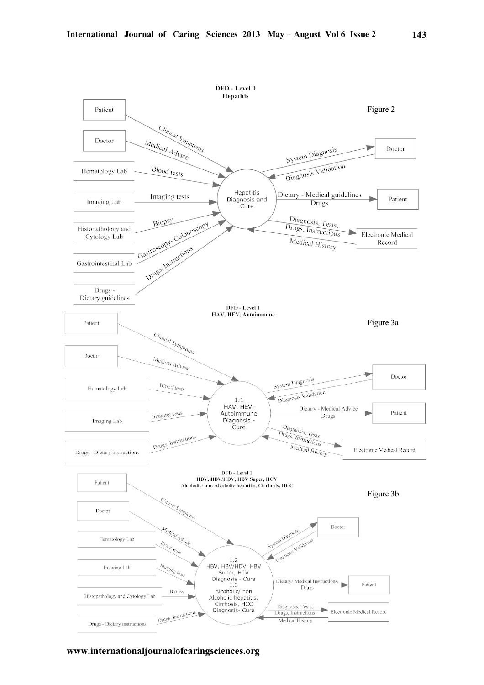

**www.internationaljournalofcaringsciences.org**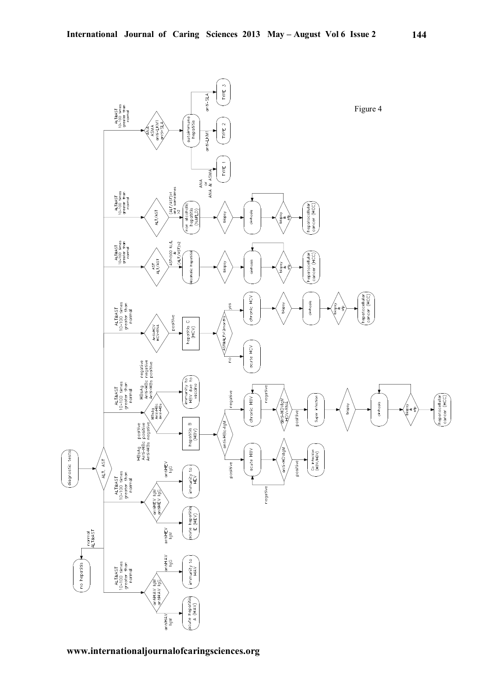